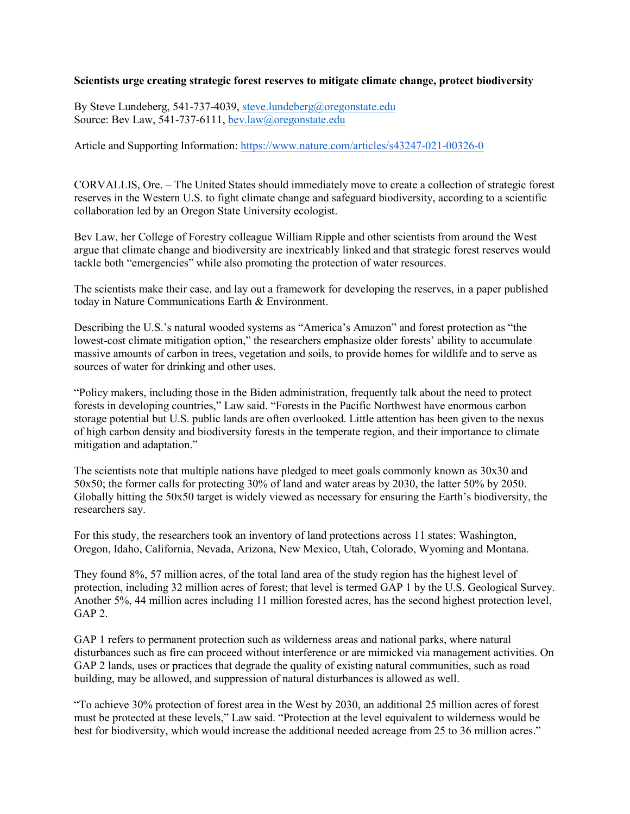## **Scientists urge creating strategic forest reserves to mitigate climate change, protect biodiversity**

By Steve Lundeberg, 541-737-4039, [steve.lundeberg@oregonstate.edu](mailto:steve.lundeberg@oregonstate.edu) Source: Bev Law, 541-737-6111, [bev.law@oregonstate.edu](mailto:bev.law@oregonstate.edu)

Article and Supporting Information: <https://www.nature.com/articles/s43247-021-00326-0>

CORVALLIS, Ore. – The United States should immediately move to create a collection of strategic forest reserves in the Western U.S. to fight climate change and safeguard biodiversity, according to a scientific collaboration led by an Oregon State University ecologist.

Bev Law, her College of Forestry colleague William Ripple and other scientists from around the West argue that climate change and biodiversity are inextricably linked and that strategic forest reserves would tackle both "emergencies" while also promoting the protection of water resources.

The scientists make their case, and lay out a framework for developing the reserves, in a paper published today in Nature Communications Earth & Environment.

Describing the U.S.'s natural wooded systems as "America's Amazon" and forest protection as "the lowest-cost climate mitigation option," the researchers emphasize older forests' ability to accumulate massive amounts of carbon in trees, vegetation and soils, to provide homes for wildlife and to serve as sources of water for drinking and other uses.

"Policy makers, including those in the Biden administration, frequently talk about the need to protect forests in developing countries," Law said. "Forests in the Pacific Northwest have enormous carbon storage potential but U.S. public lands are often overlooked. Little attention has been given to the nexus of high carbon density and biodiversity forests in the temperate region, and their importance to climate mitigation and adaptation."

The scientists note that multiple nations have pledged to meet goals commonly known as 30x30 and 50x50; the former calls for protecting 30% of land and water areas by 2030, the latter 50% by 2050. Globally hitting the 50x50 target is widely viewed as necessary for ensuring the Earth's biodiversity, the researchers say.

For this study, the researchers took an inventory of land protections across 11 states: Washington, Oregon, Idaho, California, Nevada, Arizona, New Mexico, Utah, Colorado, Wyoming and Montana.

They found 8%, 57 million acres, of the total land area of the study region has the highest level of protection, including 32 million acres of forest; that level is termed GAP 1 by the U.S. Geological Survey. Another 5%, 44 million acres including 11 million forested acres, has the second highest protection level, GAP 2.

GAP 1 refers to permanent protection such as wilderness areas and national parks, where natural disturbances such as fire can proceed without interference or are mimicked via management activities. On GAP 2 lands, uses or practices that degrade the quality of existing natural communities, such as road building, may be allowed, and suppression of natural disturbances is allowed as well.

"To achieve 30% protection of forest area in the West by 2030, an additional 25 million acres of forest must be protected at these levels," Law said. "Protection at the level equivalent to wilderness would be best for biodiversity, which would increase the additional needed acreage from 25 to 36 million acres."